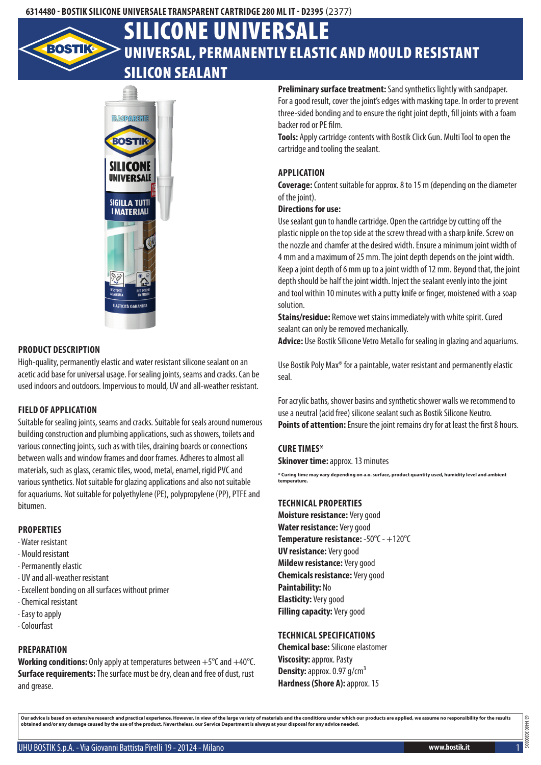# Universal, permanently elastic and mould resistant silicon sealant Silicone Universale



#### **Product description**

High-quality, permanently elastic and water resistant silicone sealant on an acetic acid base for universal usage. For sealing joints, seams and cracks. Can be used indoors and outdoors. Impervious to mould, UV and all-weather resistant.

#### **Field of application**

Suitable for sealing joints, seams and cracks. Suitable for seals around numerous building construction and plumbing applications, such as showers, toilets and various connecting joints, such as with tiles, draining boards or connections between walls and window frames and door frames. Adheres to almost all materials, such as glass, ceramic tiles, wood, metal, enamel, rigid PVC and various synthetics. Not suitable for glazing applications and also not suitable for aquariums. Not suitable for polyethylene (PE), polypropylene (PP), PTFE and bitumen.

#### **Properties**

- · Water resistant
- · Mould resistant
- · Permanently elastic
- · UV and all-weather resistant
- · Excellent bonding on all surfaces without primer
- · Chemical resistant
- · Easy to apply
- · Colourfast

# **Preparation**

**Working conditions:** Only apply at temperatures between +5°C and +40°C. **Surface requirements:** The surface must be dry, clean and free of dust, rust and grease.

**Preliminary surface treatment:** Sand synthetics lightly with sandpaper. For a good result, cover the joint's edges with masking tape. In order to prevent three-sided bonding and to ensure the right joint depth, fill joints with a foam backer rod or PE film.

**Tools:** Apply cartridge contents with Bostik Click Gun. Multi Tool to open the cartridge and tooling the sealant.

# **Application**

**Coverage:** Content suitable for approx. 8 to 15 m (depending on the diameter of the joint).

#### **Directions for use:**

Use sealant gun to handle cartridge. Open the cartridge by cutting off the plastic nipple on the top side at the screw thread with a sharp knife. Screw on the nozzle and chamfer at the desired width. Ensure a minimum joint width of 4 mm and a maximum of 25 mm. The joint depth depends on the joint width. Keep a joint depth of 6 mm up to a joint width of 12 mm. Beyond that, the joint depth should be half the joint width. Inject the sealant evenly into the joint and tool within 10 minutes with a putty knife or finger, moistened with a soap solution.

**Stains/residue:** Remove wet stains immediately with white spirit. Cured sealant can only be removed mechanically.

**Advice:** Use Bostik Silicone Vetro Metallo for sealing in glazing and aquariums.

Use Bostik Poly Max® for a paintable, water resistant and permanently elastic seal.

For acrylic baths, shower basins and synthetic shower walls we recommend to use a neutral (acid free) silicone sealant such as Bostik Silicone Neutro. **Points of attention:** Ensure the joint remains dry for at least the first 8 hours.

# **Cure times\***

**Skinover time: approx. 13 minutes** 

**\* Curing time may vary depending on a.o. surface, product quantity used, humidity level and ambient temperature.**

# **Technical properties**

**Moisture resistance:** Very good **Water resistance:** Very good **Temperature resistance:** -50°C - +120°C **UV resistance:** Very good **Mildew resistance:** Very good **Chemicals resistance:** Very good **Paintability:** No **Elasticity:** Very good **Filling capacity:** Very good

# **Technical specifications**

**Chemical base:** Silicone elastomer **Viscosity:** approx. Pasty **Density:** approx. 0.97 g/cm<sup>3</sup> **Hardness (Shore A): approx. 15** 

Our advice is based on extensive research and practical experience. However, in view of the large variety of materials and the conditions under which our products are applied, we assume no responsibility for the results<br>ob

6314480 20200305

14480